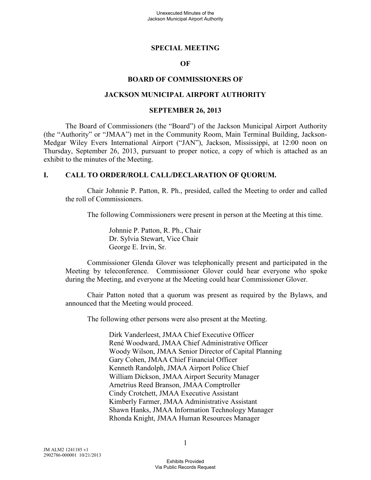#### **SPECIAL MEETING**

#### **OF**

#### **BOARD OF COMMISSIONERS OF**

#### **JACKSON MUNICIPAL AIRPORT AUTHORITY**

#### **SEPTEMBER 26, 2013**

The Board of Commissioners (the "Board") of the Jackson Municipal Airport Authority (the "Authority" or "JMAA") met in the Community Room, Main Terminal Building, Jackson-Medgar Wiley Evers International Airport ("JAN"), Jackson, Mississippi, at 12:00 noon on Thursday, September 26, 2013, pursuant to proper notice, a copy of which is attached as an exhibit to the minutes of the Meeting.

#### **I. CALL TO ORDER/ROLL CALL/DECLARATION OF QUORUM.**

Chair Johnnie P. Patton, R. Ph., presided, called the Meeting to order and called the roll of Commissioners.

The following Commissioners were present in person at the Meeting at this time.

Johnnie P. Patton, R. Ph., Chair Dr. Sylvia Stewart, Vice Chair George E. Irvin, Sr.

Commissioner Glenda Glover was telephonically present and participated in the Meeting by teleconference. Commissioner Glover could hear everyone who spoke during the Meeting, and everyone at the Meeting could hear Commissioner Glover.

Chair Patton noted that a quorum was present as required by the Bylaws, and announced that the Meeting would proceed.

The following other persons were also present at the Meeting.

Dirk Vanderleest, JMAA Chief Executive Officer René Woodward, JMAA Chief Administrative Officer Woody Wilson, JMAA Senior Director of Capital Planning Gary Cohen, JMAA Chief Financial Officer Kenneth Randolph, JMAA Airport Police Chief William Dickson, JMAA Airport Security Manager Arnetrius Reed Branson, JMAA Comptroller Cindy Crotchett, JMAA Executive Assistant Kimberly Farmer, JMAA Administrative Assistant Shawn Hanks, JMAA Information Technology Manager Rhonda Knight, JMAA Human Resources Manager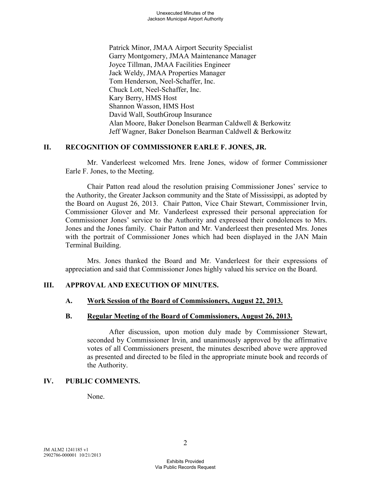Patrick Minor, JMAA Airport Security Specialist Garry Montgomery, JMAA Maintenance Manager Joyce Tillman, JMAA Facilities Engineer Jack Weldy, JMAA Properties Manager Tom Henderson, Neel-Schaffer, Inc. Chuck Lott, Neel-Schaffer, Inc. Kary Berry, HMS Host Shannon Wasson, HMS Host David Wall, SouthGroup Insurance Alan Moore, Baker Donelson Bearman Caldwell & Berkowitz Jeff Wagner, Baker Donelson Bearman Caldwell & Berkowitz

### **II. RECOGNITION OF COMMISSIONER EARLE F. JONES, JR.**

Mr. Vanderleest welcomed Mrs. Irene Jones, widow of former Commissioner Earle F. Jones, to the Meeting.

Chair Patton read aloud the resolution praising Commissioner Jones' service to the Authority, the Greater Jackson community and the State of Mississippi, as adopted by the Board on August 26, 2013. Chair Patton, Vice Chair Stewart, Commissioner Irvin, Commissioner Glover and Mr. Vanderleest expressed their personal appreciation for Commissioner Jones' service to the Authority and expressed their condolences to Mrs. Jones and the Jones family. Chair Patton and Mr. Vanderleest then presented Mrs. Jones with the portrait of Commissioner Jones which had been displayed in the JAN Main Terminal Building.

Mrs. Jones thanked the Board and Mr. Vanderleest for their expressions of appreciation and said that Commissioner Jones highly valued his service on the Board.

# **III. APPROVAL AND EXECUTION OF MINUTES.**

#### **A. Work Session of the Board of Commissioners, August 22, 2013.**

#### **B. Regular Meeting of the Board of Commissioners, August 26, 2013.**

After discussion, upon motion duly made by Commissioner Stewart, seconded by Commissioner Irvin, and unanimously approved by the affirmative votes of all Commissioners present, the minutes described above were approved as presented and directed to be filed in the appropriate minute book and records of the Authority.

# **IV. PUBLIC COMMENTS.**

None.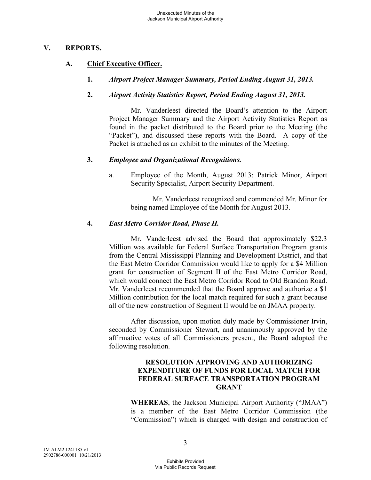### **V. REPORTS.**

# **A. Chief Executive Officer.**

**1.** *Airport Project Manager Summary, Period Ending August 31, 2013.* 

# **2.** *Airport Activity Statistics Report, Period Ending August 31, 2013.*

Mr. Vanderleest directed the Board's attention to the Airport Project Manager Summary and the Airport Activity Statistics Report as found in the packet distributed to the Board prior to the Meeting (the "Packet"), and discussed these reports with the Board. A copy of the Packet is attached as an exhibit to the minutes of the Meeting.

### **3.** *Employee and Organizational Recognitions.*

a. Employee of the Month, August 2013: Patrick Minor, Airport Security Specialist, Airport Security Department.

Mr. Vanderleest recognized and commended Mr. Minor for being named Employee of the Month for August 2013.

### **4.** *East Metro Corridor Road, Phase II.*

Mr. Vanderleest advised the Board that approximately \$22.3 Million was available for Federal Surface Transportation Program grants from the Central Mississippi Planning and Development District, and that the East Metro Corridor Commission would like to apply for a \$4 Million grant for construction of Segment II of the East Metro Corridor Road, which would connect the East Metro Corridor Road to Old Brandon Road. Mr. Vanderleest recommended that the Board approve and authorize a \$1 Million contribution for the local match required for such a grant because all of the new construction of Segment II would be on JMAA property.

After discussion, upon motion duly made by Commissioner Irvin, seconded by Commissioner Stewart, and unanimously approved by the affirmative votes of all Commissioners present, the Board adopted the following resolution.

#### **RESOLUTION APPROVING AND AUTHORIZING EXPENDITURE OF FUNDS FOR LOCAL MATCH FOR FEDERAL SURFACE TRANSPORTATION PROGRAM GRANT**

**WHEREAS**, the Jackson Municipal Airport Authority ("JMAA") is a member of the East Metro Corridor Commission (the "Commission") which is charged with design and construction of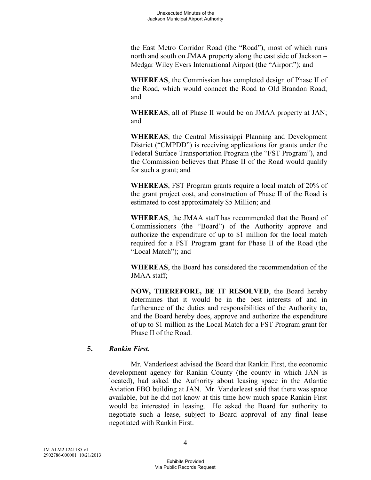the East Metro Corridor Road (the "Road"), most of which runs north and south on JMAA property along the east side of Jackson – Medgar Wiley Evers International Airport (the "Airport"); and

**WHEREAS**, the Commission has completed design of Phase II of the Road, which would connect the Road to Old Brandon Road; and

**WHEREAS**, all of Phase II would be on JMAA property at JAN; and

**WHEREAS**, the Central Mississippi Planning and Development District ("CMPDD") is receiving applications for grants under the Federal Surface Transportation Program (the "FST Program"), and the Commission believes that Phase II of the Road would qualify for such a grant; and

**WHEREAS**, FST Program grants require a local match of 20% of the grant project cost, and construction of Phase II of the Road is estimated to cost approximately \$5 Million; and

**WHEREAS**, the JMAA staff has recommended that the Board of Commissioners (the "Board") of the Authority approve and authorize the expenditure of up to \$1 million for the local match required for a FST Program grant for Phase II of the Road (the "Local Match"); and

**WHEREAS**, the Board has considered the recommendation of the JMAA staff;

**NOW, THEREFORE, BE IT RESOLVED**, the Board hereby determines that it would be in the best interests of and in furtherance of the duties and responsibilities of the Authority to, and the Board hereby does, approve and authorize the expenditure of up to \$1 million as the Local Match for a FST Program grant for Phase II of the Road.

# **5.** *Rankin First.*

Mr. Vanderleest advised the Board that Rankin First, the economic development agency for Rankin County (the county in which JAN is located), had asked the Authority about leasing space in the Atlantic Aviation FBO building at JAN. Mr. Vanderleest said that there was space available, but he did not know at this time how much space Rankin First would be interested in leasing. He asked the Board for authority to negotiate such a lease, subject to Board approval of any final lease negotiated with Rankin First.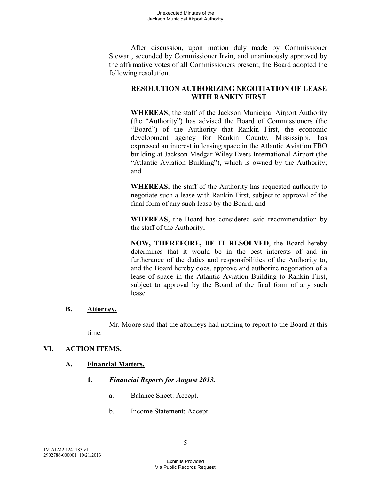After discussion, upon motion duly made by Commissioner Stewart, seconded by Commissioner Irvin, and unanimously approved by the affirmative votes of all Commissioners present, the Board adopted the following resolution.

# **RESOLUTION AUTHORIZING NEGOTIATION OF LEASE WITH RANKIN FIRST**

**WHEREAS**, the staff of the Jackson Municipal Airport Authority (the "Authority") has advised the Board of Commissioners (the "Board") of the Authority that Rankin First, the economic development agency for Rankin County, Mississippi, has expressed an interest in leasing space in the Atlantic Aviation FBO building at Jackson-Medgar Wiley Evers International Airport (the "Atlantic Aviation Building"), which is owned by the Authority; and

**WHEREAS**, the staff of the Authority has requested authority to negotiate such a lease with Rankin First, subject to approval of the final form of any such lease by the Board; and

**WHEREAS**, the Board has considered said recommendation by the staff of the Authority;

**NOW, THEREFORE, BE IT RESOLVED**, the Board hereby determines that it would be in the best interests of and in furtherance of the duties and responsibilities of the Authority to, and the Board hereby does, approve and authorize negotiation of a lease of space in the Atlantic Aviation Building to Rankin First, subject to approval by the Board of the final form of any such lease.

# **B. Attorney.**

Mr. Moore said that the attorneys had nothing to report to the Board at this time.

# **VI. ACTION ITEMS.**

# **A. Financial Matters.**

- **1.** *Financial Reports for August 2013.* 
	- a. Balance Sheet: Accept.
	- b. Income Statement: Accept.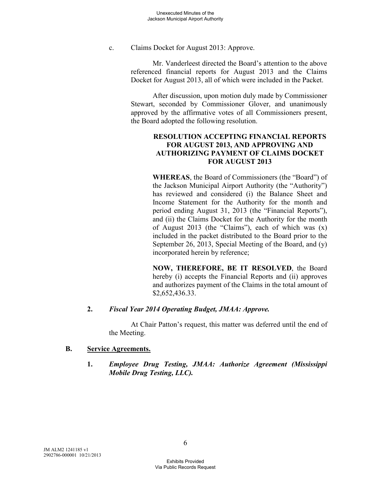c. Claims Docket for August 2013: Approve.

Mr. Vanderleest directed the Board's attention to the above referenced financial reports for August 2013 and the Claims Docket for August 2013, all of which were included in the Packet.

After discussion, upon motion duly made by Commissioner Stewart, seconded by Commissioner Glover, and unanimously approved by the affirmative votes of all Commissioners present, the Board adopted the following resolution.

# **RESOLUTION ACCEPTING FINANCIAL REPORTS FOR AUGUST 2013, AND APPROVING AND AUTHORIZING PAYMENT OF CLAIMS DOCKET FOR AUGUST 2013**

**WHEREAS**, the Board of Commissioners (the "Board") of the Jackson Municipal Airport Authority (the "Authority") has reviewed and considered (i) the Balance Sheet and Income Statement for the Authority for the month and period ending August 31, 2013 (the "Financial Reports"), and (ii) the Claims Docket for the Authority for the month of August 2013 (the "Claims"), each of which was  $(x)$ included in the packet distributed to the Board prior to the September 26, 2013, Special Meeting of the Board, and (y) incorporated herein by reference;

**NOW, THEREFORE, BE IT RESOLVED**, the Board hereby (i) accepts the Financial Reports and (ii) approves and authorizes payment of the Claims in the total amount of \$2,652,436.33.

#### **2.** *Fiscal Year 2014 Operating Budget, JMAA: Approve.*

At Chair Patton's request, this matter was deferred until the end of the Meeting.

#### **B. Service Agreements.**

**1.** *Employee Drug Testing, JMAA: Authorize Agreement (Mississippi Mobile Drug Testing, LLC).*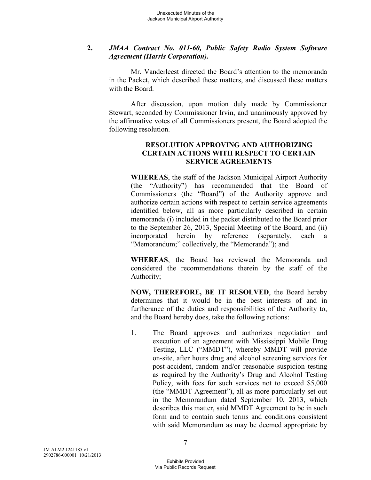# **2.** *JMAA Contract No. 011-60, Public Safety Radio System Software Agreement (Harris Corporation).*

Mr. Vanderleest directed the Board's attention to the memoranda in the Packet, which described these matters, and discussed these matters with the Board.

After discussion, upon motion duly made by Commissioner Stewart, seconded by Commissioner Irvin, and unanimously approved by the affirmative votes of all Commissioners present, the Board adopted the following resolution.

### **RESOLUTION APPROVING AND AUTHORIZING CERTAIN ACTIONS WITH RESPECT TO CERTAIN SERVICE AGREEMENTS**

**WHEREAS**, the staff of the Jackson Municipal Airport Authority (the "Authority") has recommended that the Board of Commissioners (the "Board") of the Authority approve and authorize certain actions with respect to certain service agreements identified below, all as more particularly described in certain memoranda (i) included in the packet distributed to the Board prior to the September 26, 2013, Special Meeting of the Board, and (ii) incorporated herein by reference (separately, each a "Memorandum;" collectively, the "Memoranda"); and

**WHEREAS**, the Board has reviewed the Memoranda and considered the recommendations therein by the staff of the Authority;

**NOW, THEREFORE, BE IT RESOLVED**, the Board hereby determines that it would be in the best interests of and in furtherance of the duties and responsibilities of the Authority to, and the Board hereby does, take the following actions:

1. The Board approves and authorizes negotiation and execution of an agreement with Mississippi Mobile Drug Testing, LLC ("MMDT"), whereby MMDT will provide on-site, after hours drug and alcohol screening services for post-accident, random and/or reasonable suspicion testing as required by the Authority's Drug and Alcohol Testing Policy, with fees for such services not to exceed \$5,000 (the "MMDT Agreement"), all as more particularly set out in the Memorandum dated September 10, 2013, which describes this matter, said MMDT Agreement to be in such form and to contain such terms and conditions consistent with said Memorandum as may be deemed appropriate by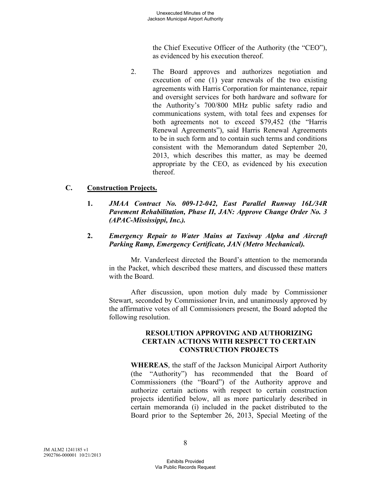the Chief Executive Officer of the Authority (the "CEO"), as evidenced by his execution thereof.

2. The Board approves and authorizes negotiation and execution of one (1) year renewals of the two existing agreements with Harris Corporation for maintenance, repair and oversight services for both hardware and software for the Authority's 700/800 MHz public safety radio and communications system, with total fees and expenses for both agreements not to exceed \$79,452 (the "Harris Renewal Agreements"), said Harris Renewal Agreements to be in such form and to contain such terms and conditions consistent with the Memorandum dated September 20, 2013, which describes this matter, as may be deemed appropriate by the CEO, as evidenced by his execution thereof.

# **C. Construction Projects.**

- **1.** *JMAA Contract No. 009-12-042, East Parallel Runway 16L/34R Pavement Rehabilitation, Phase II, JAN: Approve Change Order No. 3 (APAC-Mississippi, Inc.).*
- **2.** *Emergency Repair to Water Mains at Taxiway Alpha and Aircraft Parking Ramp, Emergency Certificate, JAN (Metro Mechanical).*

Mr. Vanderleest directed the Board's attention to the memoranda in the Packet, which described these matters, and discussed these matters with the Board.

After discussion, upon motion duly made by Commissioner Stewart, seconded by Commissioner Irvin, and unanimously approved by the affirmative votes of all Commissioners present, the Board adopted the following resolution.

### **RESOLUTION APPROVING AND AUTHORIZING CERTAIN ACTIONS WITH RESPECT TO CERTAIN CONSTRUCTION PROJECTS**

**WHEREAS**, the staff of the Jackson Municipal Airport Authority (the "Authority") has recommended that the Board of Commissioners (the "Board") of the Authority approve and authorize certain actions with respect to certain construction projects identified below, all as more particularly described in certain memoranda (i) included in the packet distributed to the Board prior to the September 26, 2013, Special Meeting of the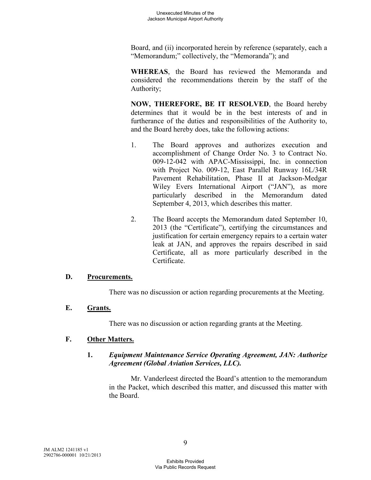Board, and (ii) incorporated herein by reference (separately, each a "Memorandum;" collectively, the "Memoranda"); and

**WHEREAS**, the Board has reviewed the Memoranda and considered the recommendations therein by the staff of the Authority;

**NOW, THEREFORE, BE IT RESOLVED**, the Board hereby determines that it would be in the best interests of and in furtherance of the duties and responsibilities of the Authority to, and the Board hereby does, take the following actions:

- 1. The Board approves and authorizes execution and accomplishment of Change Order No. 3 to Contract No. 009-12-042 with APAC-Mississippi, Inc. in connection with Project No. 009-12, East Parallel Runway 16L/34R Pavement Rehabilitation, Phase II at Jackson-Medgar Wiley Evers International Airport ("JAN"), as more particularly described in the Memorandum dated September 4, 2013, which describes this matter.
- 2. The Board accepts the Memorandum dated September 10, 2013 (the "Certificate"), certifying the circumstances and justification for certain emergency repairs to a certain water leak at JAN, and approves the repairs described in said Certificate, all as more particularly described in the Certificate.

# **D. Procurements.**

There was no discussion or action regarding procurements at the Meeting.

# **E. Grants.**

There was no discussion or action regarding grants at the Meeting.

# **F. Other Matters.**

# **1.** *Equipment Maintenance Service Operating Agreement, JAN: Authorize Agreement (Global Aviation Services, LLC).*

Mr. Vanderleest directed the Board's attention to the memorandum in the Packet, which described this matter, and discussed this matter with the Board.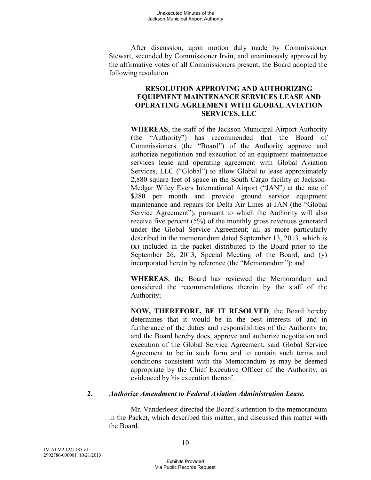After discussion, upon motion duly made by Commissioner Stewart, seconded by Commissioner Irvin, and unanimously approved by the affirmative votes of all Commissioners present, the Board adopted the following resolution.

### **RESOLUTION APPROVING AND AUTHORIZING EQUIPMENT MAINTENANCE SERVICES LEASE AND OPERATING AGREEMENT WITH GLOBAL AVIATION SERVICES, LLC**

**WHEREAS**, the staff of the Jackson Municipal Airport Authority (the "Authority") has recommended that the Board of Commissioners (the "Board") of the Authority approve and authorize negotiation and execution of an equipment maintenance services lease and operating agreement with Global Aviation Services, LLC ("Global") to allow Global to lease approximately 2,880 square feet of space in the South Cargo facility at Jackson-Medgar Wiley Evers International Airport ("JAN") at the rate of \$280 per month and provide ground service equipment maintenance and repairs for Delta Air Lines at JAN (the "Global Service Agreement"), pursuant to which the Authority will also receive five percent (5%) of the monthly gross revenues generated under the Global Service Agreement; all as more particularly described in the memorandum dated September 13, 2013, which is (x) included in the packet distributed to the Board prior to the September 26, 2013, Special Meeting of the Board, and (y) incorporated herein by reference (the "Memorandum"); and

**WHEREAS**, the Board has reviewed the Memorandum and considered the recommendations therein by the staff of the Authority;

**NOW, THEREFORE, BE IT RESOLVED**, the Board hereby determines that it would be in the best interests of and in furtherance of the duties and responsibilities of the Authority to, and the Board hereby does, approve and authorize negotiation and execution of the Global Service Agreement, said Global Service Agreement to be in such form and to contain such terms and conditions consistent with the Memorandum as may be deemed appropriate by the Chief Executive Officer of the Authority, as evidenced by his execution thereof.

# **2.** *Authorize Amendment to Federal Aviation Administration Lease.*

Mr. Vanderleest directed the Board's attention to the memorandum in the Packet, which described this matter, and discussed this matter with the Board.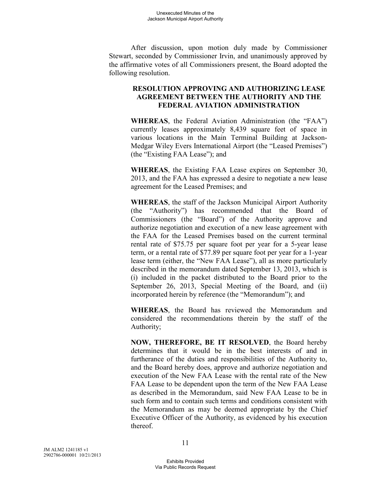After discussion, upon motion duly made by Commissioner Stewart, seconded by Commissioner Irvin, and unanimously approved by the affirmative votes of all Commissioners present, the Board adopted the following resolution.

# **RESOLUTION APPROVING AND AUTHORIZING LEASE AGREEMENT BETWEEN THE AUTHORITY AND THE FEDERAL AVIATION ADMINISTRATION**

**WHEREAS**, the Federal Aviation Administration (the "FAA") currently leases approximately 8,439 square feet of space in various locations in the Main Terminal Building at Jackson-Medgar Wiley Evers International Airport (the "Leased Premises") (the "Existing FAA Lease"); and

**WHEREAS**, the Existing FAA Lease expires on September 30, 2013, and the FAA has expressed a desire to negotiate a new lease agreement for the Leased Premises; and

**WHEREAS**, the staff of the Jackson Municipal Airport Authority (the "Authority") has recommended that the Board of Commissioners (the "Board") of the Authority approve and authorize negotiation and execution of a new lease agreement with the FAA for the Leased Premises based on the current terminal rental rate of \$75.75 per square foot per year for a 5-year lease term, or a rental rate of \$77.89 per square foot per year for a 1-year lease term (either, the "New FAA Lease"), all as more particularly described in the memorandum dated September 13, 2013, which is (i) included in the packet distributed to the Board prior to the September 26, 2013, Special Meeting of the Board, and (ii) incorporated herein by reference (the "Memorandum"); and

**WHEREAS**, the Board has reviewed the Memorandum and considered the recommendations therein by the staff of the Authority;

**NOW, THEREFORE, BE IT RESOLVED**, the Board hereby determines that it would be in the best interests of and in furtherance of the duties and responsibilities of the Authority to, and the Board hereby does, approve and authorize negotiation and execution of the New FAA Lease with the rental rate of the New FAA Lease to be dependent upon the term of the New FAA Lease as described in the Memorandum, said New FAA Lease to be in such form and to contain such terms and conditions consistent with the Memorandum as may be deemed appropriate by the Chief Executive Officer of the Authority, as evidenced by his execution thereof.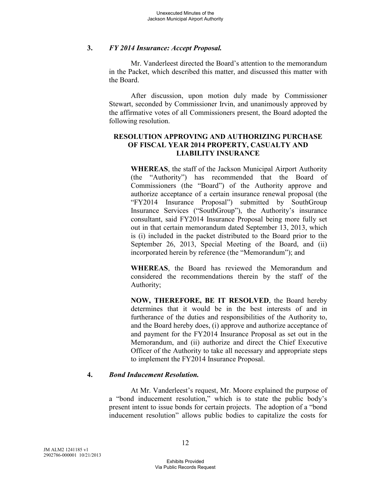#### **3.** *FY 2014 Insurance: Accept Proposal.*

Mr. Vanderleest directed the Board's attention to the memorandum in the Packet, which described this matter, and discussed this matter with the Board.

After discussion, upon motion duly made by Commissioner Stewart, seconded by Commissioner Irvin, and unanimously approved by the affirmative votes of all Commissioners present, the Board adopted the following resolution.

# **RESOLUTION APPROVING AND AUTHORIZING PURCHASE OF FISCAL YEAR 2014 PROPERTY, CASUALTY AND LIABILITY INSURANCE**

**WHEREAS**, the staff of the Jackson Municipal Airport Authority (the "Authority") has recommended that the Board of Commissioners (the "Board") of the Authority approve and authorize acceptance of a certain insurance renewal proposal (the "FY2014 Insurance Proposal") submitted by SouthGroup Insurance Services ("SouthGroup"), the Authority's insurance consultant, said FY2014 Insurance Proposal being more fully set out in that certain memorandum dated September 13, 2013, which is (i) included in the packet distributed to the Board prior to the September 26, 2013, Special Meeting of the Board, and (ii) incorporated herein by reference (the "Memorandum"); and

**WHEREAS**, the Board has reviewed the Memorandum and considered the recommendations therein by the staff of the Authority;

**NOW, THEREFORE, BE IT RESOLVED**, the Board hereby determines that it would be in the best interests of and in furtherance of the duties and responsibilities of the Authority to, and the Board hereby does, (i) approve and authorize acceptance of and payment for the FY2014 Insurance Proposal as set out in the Memorandum, and (ii) authorize and direct the Chief Executive Officer of the Authority to take all necessary and appropriate steps to implement the FY2014 Insurance Proposal.

# **4.** *Bond Inducement Resolution.*

At Mr. Vanderleest's request, Mr. Moore explained the purpose of a "bond inducement resolution," which is to state the public body's present intent to issue bonds for certain projects. The adoption of a "bond inducement resolution" allows public bodies to capitalize the costs for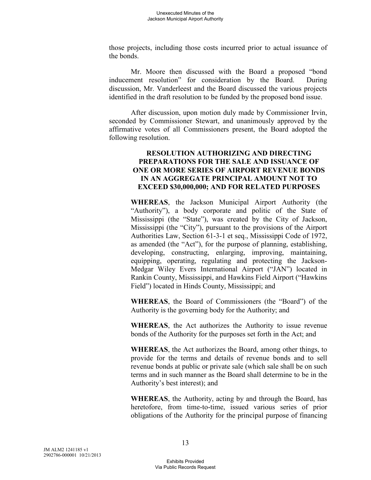those projects, including those costs incurred prior to actual issuance of the bonds.

Mr. Moore then discussed with the Board a proposed "bond inducement resolution" for consideration by the Board. During discussion, Mr. Vanderleest and the Board discussed the various projects identified in the draft resolution to be funded by the proposed bond issue.

After discussion, upon motion duly made by Commissioner Irvin, seconded by Commissioner Stewart, and unanimously approved by the affirmative votes of all Commissioners present, the Board adopted the following resolution.

#### **RESOLUTION AUTHORIZING AND DIRECTING PREPARATIONS FOR THE SALE AND ISSUANCE OF ONE OR MORE SERIES OF AIRPORT REVENUE BONDS IN AN AGGREGATE PRINCIPAL AMOUNT NOT TO EXCEED \$30,000,000; AND FOR RELATED PURPOSES**

**WHEREAS**, the Jackson Municipal Airport Authority (the "Authority"), a body corporate and politic of the State of Mississippi (the "State"), was created by the City of Jackson, Mississippi (the "City"), pursuant to the provisions of the Airport Authorities Law, Section 61-3-1 et seq., Mississippi Code of 1972, as amended (the "Act"), for the purpose of planning, establishing, developing, constructing, enlarging, improving, maintaining, equipping, operating, regulating and protecting the Jackson-Medgar Wiley Evers International Airport ("JAN") located in Rankin County, Mississippi, and Hawkins Field Airport ("Hawkins Field") located in Hinds County, Mississippi; and

**WHEREAS**, the Board of Commissioners (the "Board") of the Authority is the governing body for the Authority; and

**WHEREAS**, the Act authorizes the Authority to issue revenue bonds of the Authority for the purposes set forth in the Act; and

**WHEREAS**, the Act authorizes the Board, among other things, to provide for the terms and details of revenue bonds and to sell revenue bonds at public or private sale (which sale shall be on such terms and in such manner as the Board shall determine to be in the Authority's best interest); and

**WHEREAS**, the Authority, acting by and through the Board, has heretofore, from time-to-time, issued various series of prior obligations of the Authority for the principal purpose of financing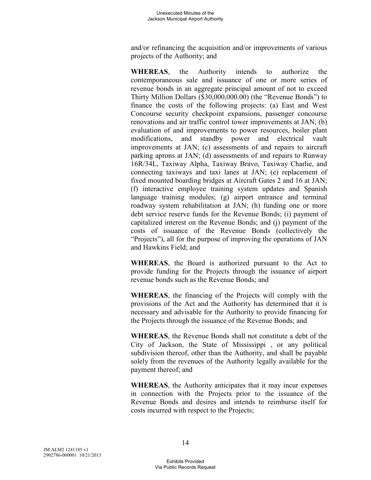and/or refinancing the acquisition and/or improvements of various projects of the Authority; and

**WHEREAS**, the Authority intends to authorize the contemporaneous sale and issuance of one or more series of revenue bonds in an aggregate principal amount of not to exceed Thirty Million Dollars (\$30,000,000.00) (the "Revenue Bonds") to finance the costs of the following projects: (a) East and West Concourse security checkpoint expansions, passenger concourse renovations and air traffic control tower improvements at JAN; (b) evaluation of and improvements to power resources, boiler plant modifications, and standby power and electrical vault improvements at JAN; (c) assessments of and repairs to aircraft parking aprons at JAN; (d) assessments of and repairs to Runway 16R/34L, Taxiway Alpha, Taxiway Bravo, Taxiway Charlie, and connecting taxiways and taxi lanes at JAN; (e) replacement of fixed mounted boarding bridges at Aircraft Gates 2 and 16 at JAN; (f) interactive employee training system updates and Spanish language training modules; (g) airport entrance and terminal roadway system rehabilitation at JAN; (h) funding one or more debt service reserve funds for the Revenue Bonds; (i) payment of capitalized interest on the Revenue Bonds; and (j) payment of the costs of issuance of the Revenue Bonds (collectively the "Projects"), all for the purpose of improving the operations of JAN and Hawkins Field; and

**WHEREAS**, the Board is authorized pursuant to the Act to provide funding for the Projects through the issuance of airport revenue bonds such as the Revenue Bonds; and

**WHEREAS**, the financing of the Projects will comply with the provisions of the Act and the Authority has determined that it is necessary and advisable for the Authority to provide financing for the Projects through the issuance of the Revenue Bonds; and

**WHEREAS**, the Revenue Bonds shall not constitute a debt of the City of Jackson, the State of Mississippi , or any political subdivision thereof, other than the Authority, and shall be payable solely from the revenues of the Authority legally available for the payment thereof; and

**WHEREAS**, the Authority anticipates that it may incur expenses in connection with the Projects prior to the issuance of the Revenue Bonds and desires and intends to reimburse itself for costs incurred with respect to the Projects;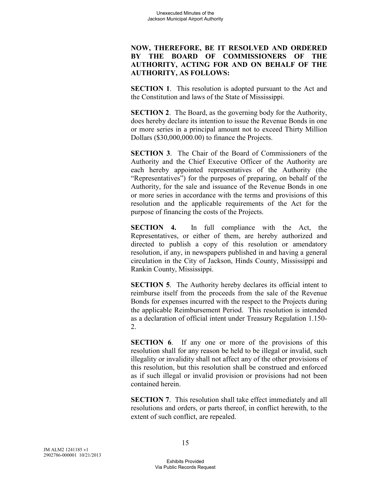# **NOW, THEREFORE, BE IT RESOLVED AND ORDERED BY THE BOARD OF COMMISSIONERS OF THE AUTHORITY, ACTING FOR AND ON BEHALF OF THE AUTHORITY, AS FOLLOWS:**

**SECTION 1.** This resolution is adopted pursuant to the Act and the Constitution and laws of the State of Mississippi.

**SECTION 2**. The Board, as the governing body for the Authority, does hereby declare its intention to issue the Revenue Bonds in one or more series in a principal amount not to exceed Thirty Million Dollars (\$30,000,000.00) to finance the Projects.

**SECTION 3.** The Chair of the Board of Commissioners of the Authority and the Chief Executive Officer of the Authority are each hereby appointed representatives of the Authority (the "Representatives") for the purposes of preparing, on behalf of the Authority, for the sale and issuance of the Revenue Bonds in one or more series in accordance with the terms and provisions of this resolution and the applicable requirements of the Act for the purpose of financing the costs of the Projects.

**SECTION 4.** In full compliance with the Act, the Representatives, or either of them, are hereby authorized and directed to publish a copy of this resolution or amendatory resolution, if any, in newspapers published in and having a general circulation in the City of Jackson, Hinds County, Mississippi and Rankin County, Mississippi.

**SECTION 5.** The Authority hereby declares its official intent to reimburse itself from the proceeds from the sale of the Revenue Bonds for expenses incurred with the respect to the Projects during the applicable Reimbursement Period. This resolution is intended as a declaration of official intent under Treasury Regulation 1.150- 2.

**SECTION 6.** If any one or more of the provisions of this resolution shall for any reason be held to be illegal or invalid, such illegality or invalidity shall not affect any of the other provisions of this resolution, but this resolution shall be construed and enforced as if such illegal or invalid provision or provisions had not been contained herein.

**SECTION 7.** This resolution shall take effect immediately and all resolutions and orders, or parts thereof, in conflict herewith, to the extent of such conflict, are repealed.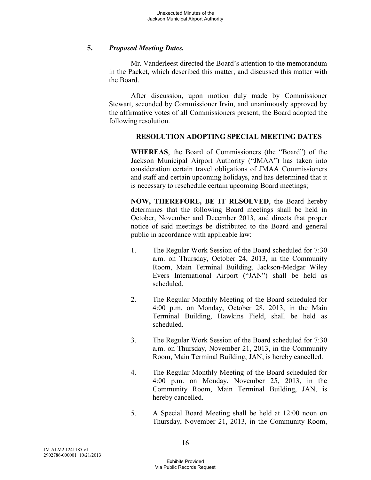### **5.** *Proposed Meeting Dates.*

Mr. Vanderleest directed the Board's attention to the memorandum in the Packet, which described this matter, and discussed this matter with the Board.

After discussion, upon motion duly made by Commissioner Stewart, seconded by Commissioner Irvin, and unanimously approved by the affirmative votes of all Commissioners present, the Board adopted the following resolution.

### **RESOLUTION ADOPTING SPECIAL MEETING DATES**

**WHEREAS**, the Board of Commissioners (the "Board") of the Jackson Municipal Airport Authority ("JMAA") has taken into consideration certain travel obligations of JMAA Commissioners and staff and certain upcoming holidays, and has determined that it is necessary to reschedule certain upcoming Board meetings;

**NOW, THEREFORE, BE IT RESOLVED**, the Board hereby determines that the following Board meetings shall be held in October, November and December 2013, and directs that proper notice of said meetings be distributed to the Board and general public in accordance with applicable law:

- 1. The Regular Work Session of the Board scheduled for 7:30 a.m. on Thursday, October 24, 2013, in the Community Room, Main Terminal Building, Jackson-Medgar Wiley Evers International Airport ("JAN") shall be held as scheduled.
- 2. The Regular Monthly Meeting of the Board scheduled for 4:00 p.m. on Monday, October 28, 2013, in the Main Terminal Building, Hawkins Field, shall be held as scheduled.
- 3. The Regular Work Session of the Board scheduled for 7:30 a.m. on Thursday, November 21, 2013, in the Community Room, Main Terminal Building, JAN, is hereby cancelled.
- 4. The Regular Monthly Meeting of the Board scheduled for 4:00 p.m. on Monday, November 25, 2013, in the Community Room, Main Terminal Building, JAN, is hereby cancelled.
- 5. A Special Board Meeting shall be held at 12:00 noon on Thursday, November 21, 2013, in the Community Room,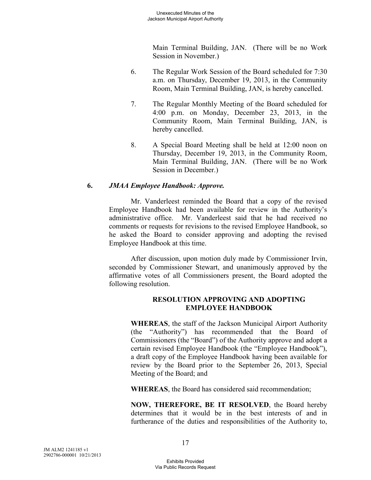Main Terminal Building, JAN. (There will be no Work Session in November.)

- 6. The Regular Work Session of the Board scheduled for 7:30 a.m. on Thursday, December 19, 2013, in the Community Room, Main Terminal Building, JAN, is hereby cancelled.
- 7. The Regular Monthly Meeting of the Board scheduled for 4:00 p.m. on Monday, December 23, 2013, in the Community Room, Main Terminal Building, JAN, is hereby cancelled.
- 8. A Special Board Meeting shall be held at 12:00 noon on Thursday, December 19, 2013, in the Community Room, Main Terminal Building, JAN. (There will be no Work Session in December.)

# **6.** *JMAA Employee Handbook: Approve.*

Mr. Vanderleest reminded the Board that a copy of the revised Employee Handbook had been available for review in the Authority's administrative office. Mr. Vanderleest said that he had received no comments or requests for revisions to the revised Employee Handbook, so he asked the Board to consider approving and adopting the revised Employee Handbook at this time.

After discussion, upon motion duly made by Commissioner Irvin, seconded by Commissioner Stewart, and unanimously approved by the affirmative votes of all Commissioners present, the Board adopted the following resolution.

# **RESOLUTION APPROVING AND ADOPTING EMPLOYEE HANDBOOK**

**WHEREAS**, the staff of the Jackson Municipal Airport Authority (the "Authority") has recommended that the Board of Commissioners (the "Board") of the Authority approve and adopt a certain revised Employee Handbook (the "Employee Handbook"), a draft copy of the Employee Handbook having been available for review by the Board prior to the September 26, 2013, Special Meeting of the Board; and

**WHEREAS**, the Board has considered said recommendation;

**NOW, THEREFORE, BE IT RESOLVED**, the Board hereby determines that it would be in the best interests of and in furtherance of the duties and responsibilities of the Authority to,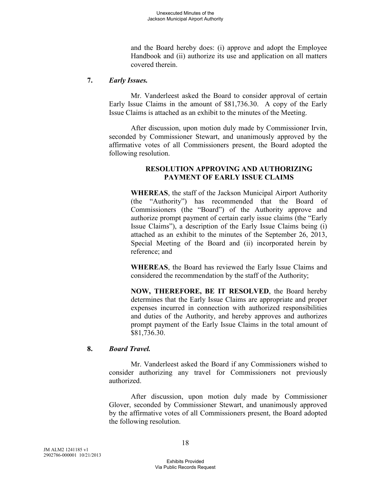and the Board hereby does: (i) approve and adopt the Employee Handbook and (ii) authorize its use and application on all matters covered therein.

### **7.** *Early Issues.*

Mr. Vanderleest asked the Board to consider approval of certain Early Issue Claims in the amount of \$81,736.30. A copy of the Early Issue Claims is attached as an exhibit to the minutes of the Meeting.

After discussion, upon motion duly made by Commissioner Irvin, seconded by Commissioner Stewart, and unanimously approved by the affirmative votes of all Commissioners present, the Board adopted the following resolution.

### **RESOLUTION APPROVING AND AUTHORIZING PAYMENT OF EARLY ISSUE CLAIMS**

**WHEREAS**, the staff of the Jackson Municipal Airport Authority (the "Authority") has recommended that the Board of Commissioners (the "Board") of the Authority approve and authorize prompt payment of certain early issue claims (the "Early Issue Claims"), a description of the Early Issue Claims being (i) attached as an exhibit to the minutes of the September 26, 2013, Special Meeting of the Board and (ii) incorporated herein by reference; and

**WHEREAS**, the Board has reviewed the Early Issue Claims and considered the recommendation by the staff of the Authority;

**NOW, THEREFORE, BE IT RESOLVED**, the Board hereby determines that the Early Issue Claims are appropriate and proper expenses incurred in connection with authorized responsibilities and duties of the Authority, and hereby approves and authorizes prompt payment of the Early Issue Claims in the total amount of \$81,736.30.

# **8.** *Board Travel.*

Mr. Vanderleest asked the Board if any Commissioners wished to consider authorizing any travel for Commissioners not previously authorized.

After discussion, upon motion duly made by Commissioner Glover, seconded by Commissioner Stewart, and unanimously approved by the affirmative votes of all Commissioners present, the Board adopted the following resolution.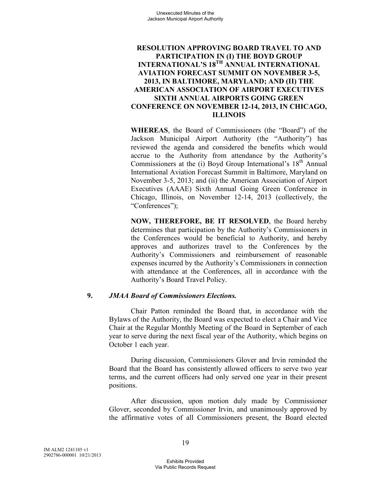### **RESOLUTION APPROVING BOARD TRAVEL TO AND PARTICIPATION IN (I) THE BOYD GROUP INTERNATIONAL'S 18TH ANNUAL INTERNATIONAL AVIATION FORECAST SUMMIT ON NOVEMBER 3-5, 2013, IN BALTIMORE, MARYLAND; AND (II) THE AMERICAN ASSOCIATION OF AIRPORT EXECUTIVES SIXTH ANNUAL AIRPORTS GOING GREEN CONFERENCE ON NOVEMBER 12-14, 2013, IN CHICAGO, ILLINOIS**

**WHEREAS**, the Board of Commissioners (the "Board") of the Jackson Municipal Airport Authority (the "Authority") has reviewed the agenda and considered the benefits which would accrue to the Authority from attendance by the Authority's Commissioners at the (i) Boyd Group International's  $18<sup>th</sup>$  Annual International Aviation Forecast Summit in Baltimore, Maryland on November 3-5, 2013; and (ii) the American Association of Airport Executives (AAAE) Sixth Annual Going Green Conference in Chicago, Illinois, on November 12-14, 2013 (collectively, the "Conferences");

**NOW, THEREFORE, BE IT RESOLVED**, the Board hereby determines that participation by the Authority's Commissioners in the Conferences would be beneficial to Authority, and hereby approves and authorizes travel to the Conferences by the Authority's Commissioners and reimbursement of reasonable expenses incurred by the Authority's Commissioners in connection with attendance at the Conferences, all in accordance with the Authority's Board Travel Policy.

#### **9.** *JMAA Board of Commissioners Elections.*

Chair Patton reminded the Board that, in accordance with the Bylaws of the Authority, the Board was expected to elect a Chair and Vice Chair at the Regular Monthly Meeting of the Board in September of each year to serve during the next fiscal year of the Authority, which begins on October 1 each year.

During discussion, Commissioners Glover and Irvin reminded the Board that the Board has consistently allowed officers to serve two year terms, and the current officers had only served one year in their present positions.

After discussion, upon motion duly made by Commissioner Glover, seconded by Commissioner Irvin, and unanimously approved by the affirmative votes of all Commissioners present, the Board elected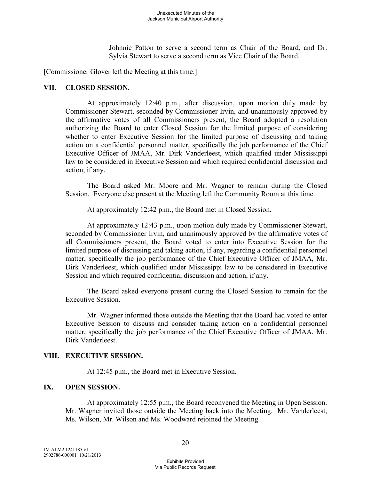Johnnie Patton to serve a second term as Chair of the Board, and Dr. Sylvia Stewart to serve a second term as Vice Chair of the Board.

[Commissioner Glover left the Meeting at this time.]

### **VII. CLOSED SESSION.**

At approximately 12:40 p.m., after discussion, upon motion duly made by Commissioner Stewart, seconded by Commissioner Irvin, and unanimously approved by the affirmative votes of all Commissioners present, the Board adopted a resolution authorizing the Board to enter Closed Session for the limited purpose of considering whether to enter Executive Session for the limited purpose of discussing and taking action on a confidential personnel matter, specifically the job performance of the Chief Executive Officer of JMAA, Mr. Dirk Vanderleest, which qualified under Mississippi law to be considered in Executive Session and which required confidential discussion and action, if any.

The Board asked Mr. Moore and Mr. Wagner to remain during the Closed Session. Everyone else present at the Meeting left the Community Room at this time.

At approximately 12:42 p.m., the Board met in Closed Session.

At approximately 12:43 p.m., upon motion duly made by Commissioner Stewart, seconded by Commissioner Irvin, and unanimously approved by the affirmative votes of all Commissioners present, the Board voted to enter into Executive Session for the limited purpose of discussing and taking action, if any, regarding a confidential personnel matter, specifically the job performance of the Chief Executive Officer of JMAA, Mr. Dirk Vanderleest, which qualified under Mississippi law to be considered in Executive Session and which required confidential discussion and action, if any.

The Board asked everyone present during the Closed Session to remain for the Executive Session.

Mr. Wagner informed those outside the Meeting that the Board had voted to enter Executive Session to discuss and consider taking action on a confidential personnel matter, specifically the job performance of the Chief Executive Officer of JMAA, Mr. Dirk Vanderleest.

#### **VIII. EXECUTIVE SESSION.**

At 12:45 p.m., the Board met in Executive Session.

# **IX. OPEN SESSION.**

At approximately 12:55 p.m., the Board reconvened the Meeting in Open Session. Mr. Wagner invited those outside the Meeting back into the Meeting. Mr. Vanderleest, Ms. Wilson, Mr. Wilson and Ms. Woodward rejoined the Meeting.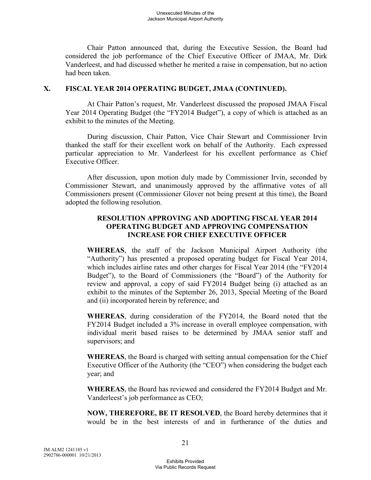Chair Patton announced that, during the Executive Session, the Board had considered the job performance of the Chief Executive Officer of JMAA, Mr. Dirk Vanderleest, and had discussed whether he merited a raise in compensation, but no action had been taken.

#### **X. FISCAL YEAR 2014 OPERATING BUDGET, JMAA (CONTINUED).**

At Chair Patton's request, Mr. Vanderleest discussed the proposed JMAA Fiscal Year 2014 Operating Budget (the "FY2014 Budget"), a copy of which is attached as an exhibit to the minutes of the Meeting.

During discussion, Chair Patton, Vice Chair Stewart and Commissioner Irvin thanked the staff for their excellent work on behalf of the Authority. Each expressed particular appreciation to Mr. Vanderleest for his excellent performance as Chief Executive Officer.

After discussion, upon motion duly made by Commissioner Irvin, seconded by Commissioner Stewart, and unanimously approved by the affirmative votes of all Commissioners present (Commissioner Glover not being present at this time), the Board adopted the following resolution.

# **RESOLUTION APPROVING AND ADOPTING FISCAL YEAR 2014 OPERATING BUDGET AND APPROVING COMPENSATION INCREASE FOR CHIEF EXECUTIVE OFFICER**

**WHEREAS**, the staff of the Jackson Municipal Airport Authority (the "Authority") has presented a proposed operating budget for Fiscal Year 2014, which includes airline rates and other charges for Fiscal Year 2014 (the "FY2014 Budget"), to the Board of Commissioners (the "Board") of the Authority for review and approval, a copy of said FY2014 Budget being (i) attached as an exhibit to the minutes of the September 26, 2013, Special Meeting of the Board and (ii) incorporated herein by reference; and

**WHEREAS**, during consideration of the FY2014, the Board noted that the FY2014 Budget included a 3% increase in overall employee compensation, with individual merit based raises to be determined by JMAA senior staff and supervisors; and

**WHEREAS**, the Board is charged with setting annual compensation for the Chief Executive Officer of the Authority (the "CEO") when considering the budget each year; and

**WHEREAS**, the Board has reviewed and considered the FY2014 Budget and Mr. Vanderleest's job performance as CEO;

**NOW, THEREFORE, BE IT RESOLVED**, the Board hereby determines that it would be in the best interests of and in furtherance of the duties and